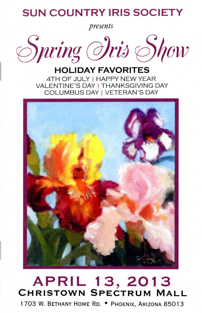# **SUN COUNTRY IRIS SOCIETY**

*presents* 

Spring *Oris* Show

## **HOLIDAY FAVORITES**  4TH OF JULY I HAPPY NEW YEAR VALENTINE'S DAY | THANKSGIVING DAY COLUMBUS DAY I VETERAN 'S DAY



# **APRIL 13,2013 CHRISTOWN SPECTRUM MALL**

1703 W. BETHANY HOME RD. . PHOENIX, ARIZONA 85013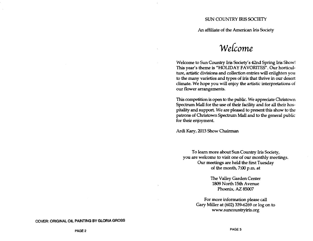#### SUN COUNTRY IRIS SOCIETY

An affiliate of the American Iris Society

# **WeLCome**

Welcome to Sun Country Iris Society's 42nd Spring Iris Show! 1his year's theme is "HOLIDAY FAVORITES". Our horticulture, artistic divisions and collection entries will enlighten you to the many varieties and types of iris that thrive in our desert climate. We hope you will enjoy the artistic interpretations of our flower arrangements.

This competition is open to the public. We appreciate Christown Spectrum Mall for the use of their facility and for all their hospitality and support. We are pleased to present this show to the patrons of Christown Spectrum Mall and to the general public for their enjoyment.

Ardi Kary, 2013 Show Chairman

To learn more about Sun Country Iris Society, you are welcome to visit one of our monthly meetings. Our meetings are held the first Tuesday of the month, 7:00 p.m. at

> The Valley Garden Center 1809 North 15th A venue Phoenix, AZ 85007

For more information please call Gary Miller at (602) 339-6269 or log on to www.suncountryiris.org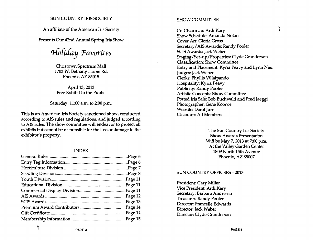#### SUN COUNTRY IRIS SOCIETY

An affiliate of the American Iris Society

Presents Our 42nd Annual Spring Iris Show

*tJ-{oCiday Pavorites* 

Christown Spectrum Mall 1703 W. Bethany Home Rd. Phoenix, AZ 85015

April 13, 2013 Free Exhibit to the Public

Saturday, 11:00 a.m. to 2:00 p.m.

This is an American Iris Society sanctioned show, conducted according to AIS rules and regulations, and judged according to AIS rules. The show committee will endeavor to protect all exhibits but cannot be responsible for the loss or damage to the exhibitor's property.

#### INDEX

#### SHOW COMMITTEE

Co-Chairman: Ardi Kary Show Schedule: Amanda Nolan Cover Art: Gloria Gross Secretary/AIS Awards: Randy Pooler SCIS Awards: Jack Weber Staging/Set-up/Properties: Clyde Granderson Classification: Show Committee Entry and Placement: Kyria Peavy and Lynn Nau Judges: Jack Weber Clerks: Phyllis Villalpando Hospitality: Kyria Peavy Publicity: Randy Pooler Artistic Concepts: Show Committee Potted Iris Sale: Bob Buchwald and Fred Jaeggi Photographer: Gene Koonce Website: Darol Jurn Clean-up: All Members

ري<br>و

The Sun Country Iris Society Show Awards Presentation Will be May 7, 2013 at 7:00 p.m. At the Valley Garden Center 1809 North 15th Avenue Phoenix, AZ 85007

#### SUN COUNTRY OFFICERS - 2013

President: Gary Miller Vice President Ardi Kary Secretary: Barbara Andresen Treasurer: Randy Pooler Director: Francelle Edwards Director: Jack Weber Director: Clyde Granderson

ŧ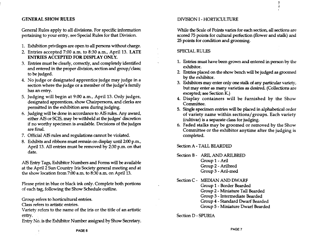## GENERAL SHOW RULES

General Rules apply to all divisions. For specific information pertaining to your entry, see Special Rules for that Division.

- 1. Exhibition privileges are open to all persons without charge.
- 2. Entries accepted 7:00 a.m. to 8:30 a.m., April 13. LATE ENTRIES ACCEPTED FOR DISPLAY ONLY.
- 3. Entries must be clearly, correctly, and completely identified and entered in the proper division, section and group/class; to be judged.
- 4. No judge or designated apprentice judge may judge in a section where the judge or a member of the judge's family has an entry.
- 5. Judging will begin at 9:00 a.m., Apri113. Only judges, designated apprentices, show Chairpersons, and clerks are permitted in the exhibition area during judging.
- 6. Judging will be done in accordance to AIS rules. Any award, either AIS or SCIS, may be withheld at the judges' discretion if no worthy specimen is available. Decisions of the judges are final.
- 7. Official AIS rules and regulations cannot be violated.
- 8. Exhibits and ribbons must remain on display until 2:00 p.m., April 13. All entries must be removed by 2:30 p.m. on that date.

AIS Entry Tags, Exhibitor Numbers and Forms will be available at the April 2 Sun Country Iris Society general meeting and at the show location from 7:00 a.m. to 8:30 a.m. on April 13.

Please print in blue or black ink only. Complete both portions of each tag, following the Show Schedule outline.

Group refers to horticultural entries.

Class refers to artistic entries.

Variety refers to the name of the iris or the title of an artistic entry.

Entry No. is the Exhibitor Number assigned by Show Secretary.

#### DIVISION I - HORTICULTURE

While the Scale of Points varies for each section, all sections are scored 75 points for cultural perfection (flower and stalk) and 25 points for condition and grooming.

#### SPECIAL RULES

- 1. Entries must have been grown and entered in person by the exhibitor.
- 2. Entries placed on the show bench will be judged as groomed by the exhibitor.
- 3. Exhibitors may enter only one stalk of any particular variety, but may enter as many varieties as desired. (Collections are excepted; see Section K.)
- 4. Display containers will be furnished by the Show Committee.
- 5. Single specimen entries will be placed in alphabetical order of variety name within sections/ groups. Each variety (cultivar) is a separate class for judging.
- 6. Faded stalks may be groomed or removed by the Show Committee or the exhibitor anytime after the judging is completed.

Section A - TALL BEARDED

- Section B ARIL AND ARILBRED Group 1 - Aril Group 2 - Arilbred Group 3 - Aril-med
- Section C MEDIAN AND DWARF Group 1 - Border Bearded Group 2 - Miniature Tall Bearded Group 3 - Intermediate Bearded Group 4 - Standard Dwarf Bearded Group 5 - Miniature Dwarf Bearded

Section D - SPURIA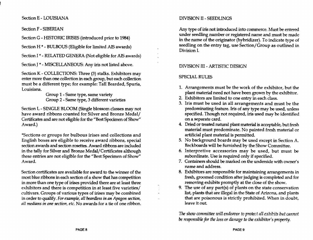Section E - LOUISIANA

## Section F - SIBERIAN

Section G - HISTORIC IRISES (introduced prior to 1984)

Section H \* - BULBOUS (Eligible for limited AIS awards)

Section 1\* - RELATED GENERA (Not eligible for AIS awards)

Section J \* - MISCELLANEOUS: Any iris not listed above.

Section K - COLLECTIONS: Three (3) stalks. Exhibitors may enter more than one collection in each group, but each collection must be a different type; for example: Tall Bearded, Spuria, Louisiana.

Group 1 - Same type, same variety Group 2 - Same type, 3 different varieties

Section L - SINGLE BLOOM (Single blossom classes may not have award ribbons counted for Silver and Bronze Medal/ Certificates and are not eligtble for the "Best Specimen of Show" Award.)

\*Sections or groups for bulbous irises and collections and English boxes are eligible to receive award ribbons, special section awards and section rosettes. Award ribbons are included in the tally for Silver and Bronze Medal/Certificates although these entries are not eligible for the "Best Specimen of Show" Award.

Section certificates are available for award to the winner of the most blue ribbons in each section of a show that has competition in more than one type of irises provided there are at least three exhibitors and there is competition in at least five varieties/ cultivars. Groups of various types of irises may be combined in order to qualify. *For example, all beardless in an Apagon section, all medions in one section, etc.* No awards for a tie of one ribbon.

# DNISION II - SEEDLINGS

Any type of iris not introduced into commerce. Must be entered under seedling number or registered name and must be made in the name of the originator (hybridizer). To indicate type of seedling on the entry tag, use Section/ Group as outlined in Division L.

# DNISION III - ARTISTIC DESIGN

# SPECIAL RULES

- 1. Arrangements must be the work of the exhibitor, but the plant material need not have been grown by the exhibitor.
- 2. Exhibitors are limited to one entry in each class.
- 3. Iris must be used in all arrangements and must be the predominating feature. Iris of any type may be used, unless specified. Though not required, iris used may be identified on a separate card.
- 4. Dried or treated natural plant material is acceptable, but fresh material must predominate. No painted fresh material or artificial plant material is permitted.
- 5. No background boards may be used except in Section A. Backboards will be furnished by the Show Committee.
- 6. Interpretive accessories may be used, but must be subordinate. Use is required only if specified.
- 7. Containers should be marked on the underside with owner's name and address.
- 8. Exhibitors are responsible for maintaining arrangements in fresh, groomed condition after judging is completed and for removing exhibits promptly at the close of the show.
- 9. The use of any part(s) of plants on the state conservation list, plants that are illegal in the State of Arizona, and plants that are poisonous is strictly prohibited. When in doubt, leave it out

The *show committee will endent'or to protect all exhibits but cannot be responsible for the loss or damage to the exhibitor's property.*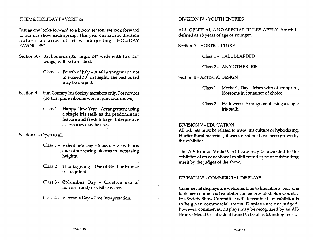#### THEME: HOLIDAY FAVORITFS

Just as one looks forward to a bloom season, we look forward . to our iris show each spring. This year our artistic division features an array of irises interpreting "HOLIDAY FA *VORITFS".* 

- Section A Backboards (32" high, 24" wide with two 12" wings) will be furnished.
	- Class 1 Fourth of July A tall arrangement, not to exceed  $30''$  in height. The backboard may be draped.
- Section B Sun Country Iris Society members only. For novices (no first place ribbons won in previous shows).
	- Class 1 Happy New Year Arrangement using a single iris stalk as the predominant feature and fresh foliage. Interpretive accessories may be used.

I

Section C - Open to all.

- Class 1 Valentine's Day Mass design with iris . and other spring blooms in increasing heights.
- Class 2 Thanksgiving Use of Gold or Bronze iris required.
- Class 3 Columbus Day Creative use of  $mirror(s)$  and/or visible water.
- Class 4 Veteran's Day Free Interpretation

#### DNISION *N* - YOUTH ENTRIES

ALL GENERAL AND SPECIAL RULES APPLY. Youth is defined as 18 years of age or younger.

Section A - HORTICULTURE

Class 1- TALL BEARDED

Class 2 - ANY OTHER IRIS

Section B - ARTISTIC DESIGN

- Gass 1- Mother's Day Irises with other spring blossoms in container of choice.
- Gass 2 Halloween- Arrangement using a single iris stalk.

#### DNISION V - EDUCATION

 $\lambda$ 

All exhibits must be related to irises, iris culture or hybridizing. Horticultural materials, if used, need not have been grown by the exhibitor.

The AIS Bronze Medal Certificate may be awarded to the exhibitor of an educational exhibit found to be of outstanding merit by the judges of the show.

#### DIVISION VI - COMMERCIAL DISPLAYS

Commercial displays are welcome. Due to limitations, only one table per commercial exhibitor can be provided. Sun Country Iris Society Show Committee will determine if an exhibitor is to be given commercial status. Displays are not judged, however, commercial displays may be recognized by an AIS Bronze Medal Certificate if found to be of outstanding merit.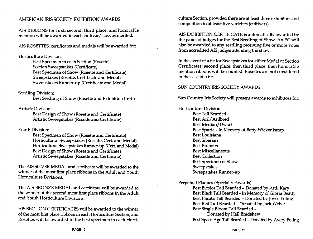## AMERICAN IRIS SOCIETY EXHIBITION AWARDS

AIS RIBBONS for first, second, third place, and honorable mention will be awarded in each cultivar / class as merited.

AIS ROSETTES, certificates and medals will be awarded for:

#### Horticulture Division:

Best Specimen in each Section (Rosette) Section Sweepstakes (Certificate) Best Specimen of Show (Rosette and Certificate) Sweepstakes (Rosette, Certificate and Medal) Sweepstakes Runner-up (Certificate and Medal)

#### Seedling Division:

Best Seedling of Show (Rosette and Exhibition Cert.)

Artistic Division:

Best Design of Show (Rosette and Certificate) Artistic Sweepstakes (Rosette and Certificate)

#### Youth Division:

Best Specimen of Show (Rosette and Certificate) Horticultural Sweepstakes (Rosette, Cert. and Medal) Horticultural Sweepstakes Runner-up (Cett. and Medal) Best Design of Show (Rosette and Certificate) Artistic Sweepstakes (Rosette and Certificate)

The AIS SILVER MEDAL and certificate will be awarded to the winner of the most first place ribbons in the Adult and Youth Horticulture Divisions.

The AIS BRONZE MEDAL and certificate will be awarded to the winner of the second most first place ribbons in the Adult and Youth Horticulture Divisions.

AIS SECTION CERTIFICATES will be awarded to the winner of the most first place ribbons in each Horticulture Section, and Rosettes will be awarded to the best specimen in each Horticulture Section, provided there are at least three exhibitors and competition in at least five varieties (cultivars).

AIS EXHIBITION CERTIFICATE is automatically awarded by the panel of judges for the Best Seedling of Show. An EC will also be awarded to any seedling receiving five or more votes from accredited AIS judges attending the show.

In the event of a tie for Sweepstakes for either Medal or Section Certificates; second place, then third place, then honorable mention ribbons will be counted. Rosettes are not considered in the case of a tie.

#### SUN COUNTRY IRIS SOCIETY AWARDS

Sun Country Iris Society will present awards to exhibitors for:

Horticulture Division:

Best Tall Bearded Best Aril/ Arilbred Best Median/Dwarf Best Spuria - In Memory of Betty Wickenkamp Best Louisiana Best Siberian Best Bulbous Best Miscellaneous Best Collection Best Specimen of Show **Sweepstakes** Sweepstakes Runner-up

Perpetual Plaques (Specialty Awards):

Best Bicolor Tall Bearded - Donated by Ardi Kary Best Black Tall Bearded - In Memory of Gloria Beatty Best Plicata Tall Bearded - Donated by Joyce Poling Best Red Tall Bearded - Donated by Jack Weber Best Single Bloom Tall Bearded -

Donated by Hall Bradshaw Best Space Age Tall Bearded - Donated by Avery Poling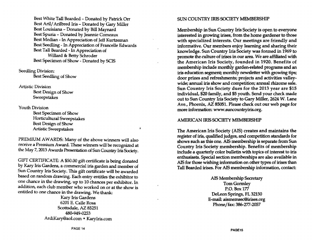Best White Tall Bearded - Donated by Patrick Orr Best Aril/ Arilbred Iris - Donated by Gary Miller Best Louisiana - Donated by Bill Maynard Best Spuria - Donated by Jeannie Comeaux Best Median - In Appreciation of Jeff Kurtzeman Best Seedling - In Appreciation of Francelle Edwards Best Tall Bearded - In Appreciation of Willard & Betty Schroder Best Specimen of Show - Donated by SCIS

Seedling Division:

Best Seedling of Show

Artistic Division

Best Design of Show **Sweepstakes** 

Youth Division

Best Specimen of Show Horticultural Sweepstakes Best Design of Show Artistic Sweepstakes

PREMIUM AWARDS: Many of the above winners will also receive a Premium Award. These winners will be recognized at the May 7, 2013 Awards Presentation of Sun Country Iris Society.

 $\bullet$ 

GIFT CERTIFICATE: A \$50.00 gift certificate is being donated by Kary Iris Gardens, a commercial iris garden and member of Sun Country Iris Society. This gift certificate will be awarded based on random drawing. Each entry entitles the exhibitor to one chance in the drawing. up to 10 chances per exhibitor. In addition, each dub member who worked on or at the show is entitled to one chance in the drawing. We thank:

> Kary Iris Gardens 6201 E. Calle Rosa Scottsdale, AZ 85251 480-949-0253 ArdiKary@aol.com· KaryIris.com

#### SUN COUNTRY IRIS SOCIETY MEMBERSHIP

Membership in Sun Country Iris Society is open to everyone interested in growing irises, from the home gardener to those with specialized interests. Our meetings are friendly and informative. Our members enjoy learning and sharing their knowledge. Sun Country Iris Society was formed in 1969 to promote the culture of irises in our area. We are affiliated with the American Iris Society, founded in 1920. Benefits of membership include monthly garden-related programs and an iris education segment; monthly newsletter with growing tips; door prizes and refreshments; projects and activities valleywide; annual iris show and competition; annual rhizome sale. Sun Country Iris Society dues for the 2013 year are \$15 individual, \$20 family, and \$5 youth. Send your check made out to Sun Country Iris Society to Gary Miller, 2624 W. Lane Ave., Phoenix, AZ 85051. Please check out our web page for more information: www.suncountryiris.org.

### AMERICAN IRIS SOCIETY MEMBERSHIP

The American Iris Society (AIS) creates and maintains the register of iris, qualified judges, and competition standards for shows such as this one. AIS membership is separate from Sun Country Iris Society membership. Benefits of membership include a quarterly color bulletin with topics of interest to iris enthusiasts. Special section memberships are also available in AIS for those wishing information on other types of irises than Tall Bearded irises. For AIS membership information, contact:

> AIS Membership Secretary Tom Gormley P.O. Box 177 Deleon Springs, FL 32130 E-mail: aismemsec@irises.org Phone/fax: 386-277-2057